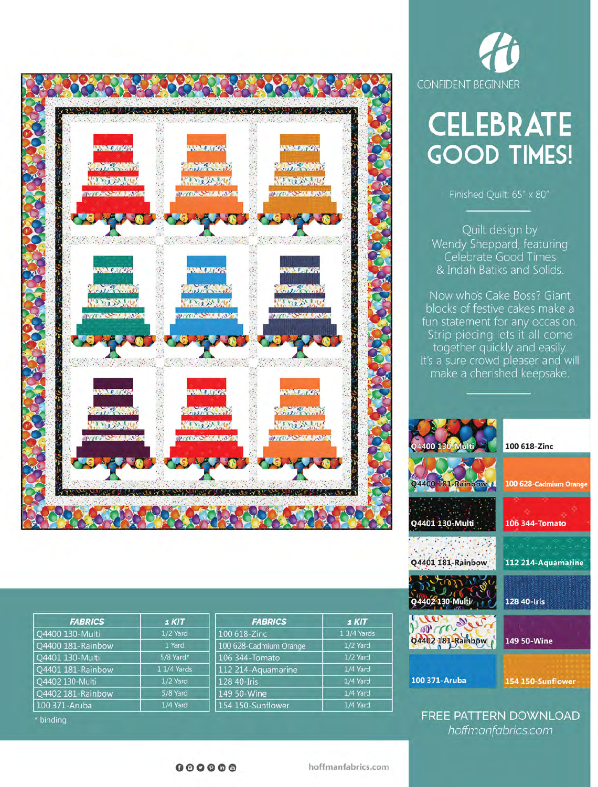

| <b>FABRICS</b>    | 1 KIT       | <b>FABRICS</b>         | 1 KIT       |
|-------------------|-------------|------------------------|-------------|
| Q4400 130-Multi   | 1/2 Yard    | 100 618-Zinc           | 1 3/4 Yards |
| Q4400 181-Rainbow | 1 Yard      | 100 628-Cadmium Orange | 1/2 Yard    |
| Q4401 130-Multi   | 5/8 Yard*   | 106 344-Tomato         | 1/2 Yard    |
| Q4401 181-Rainbow | 1 1/4 Yards | 112 214-Aquamarine     | 1/4 Yard    |
| Q4402 130-Multi   | 1/2 Yard    | 128 40-Iris            | 1/4 Yard    |
| Q4402 181-Rainbow | 5/8 Yard    | 149 50-Wine            | 1/4 Yard    |
| 100 371-Aruba     | 1/4 Yard    | 154 150-Sunflower      | 1/4 Yard    |



# **CELEBRATE GOOD TIMES!**

Finished Quilt: 65" x 80"

Quilt design by Wendy Sheppard, featuring Celebrate Good Times & Indah Batiks and Solids.

Now who's Cake Boss? Giant blocks of festive cakes make a fun statement for any occasion. Strip piecing lets it all come together quickly and easily. It's a sure crowd pleaser and will make a cherished keepsake.



FREE PATTERN DOWNLOAD hoffmanfabrics.com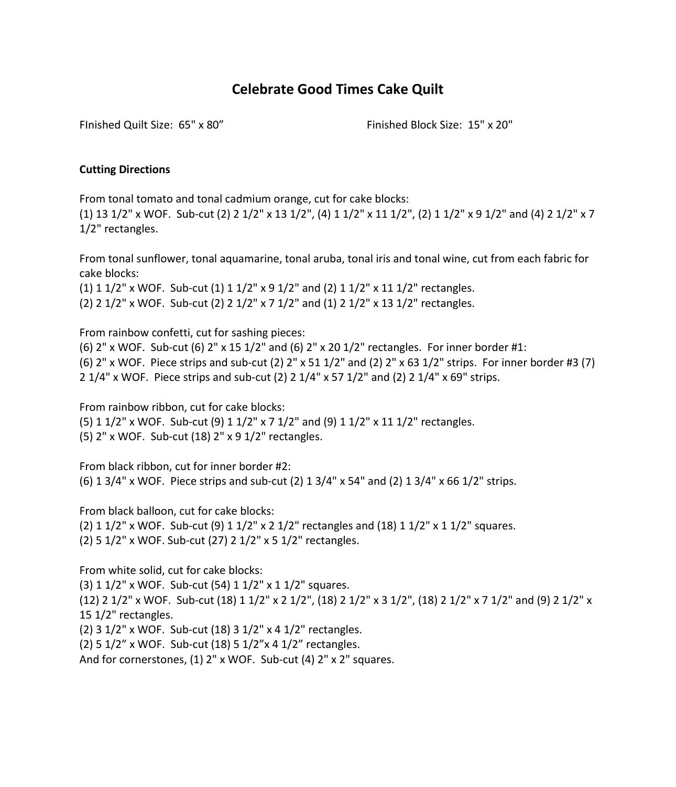# **Celebrate Good Times Cake Quilt**

FInished Quilt Size: 65" x 80" Finished Block Size: 15" x 20"

#### **Cutting Directions**

From tonal tomato and tonal cadmium orange, cut for cake blocks: (1) 13 1/2" x WOF. Sub-cut (2) 2 1/2" x 13 1/2", (4) 1 1/2" x 11 1/2", (2) 1 1/2" x 9 1/2" and (4) 2 1/2" x 7 1/2" rectangles.

From tonal sunflower, tonal aquamarine, tonal aruba, tonal iris and tonal wine, cut from each fabric for cake blocks:

(1)  $1\frac{1}{2}$ " x WOF. Sub-cut (1)  $1\frac{1}{2}$ " x  $9\frac{1}{2}$ " and (2)  $1\frac{1}{2}$ " x  $11\frac{1}{2}$ " rectangles. (2) 2 1/2" x WOF. Sub-cut (2) 2 1/2" x 7 1/2" and (1) 2 1/2" x 13 1/2" rectangles.

From rainbow confetti, cut for sashing pieces:

(6)  $2''$  x WOF. Sub-cut (6)  $2''$  x 15 1/2" and (6)  $2''$  x 20 1/2" rectangles. For inner border #1: (6) 2" x WOF. Piece strips and sub-cut (2) 2" x 51 1/2" and (2) 2" x 63 1/2" strips. For inner border #3 (7) 2 1/4" x WOF. Piece strips and sub-cut (2) 2 1/4" x 57 1/2" and (2) 2 1/4" x 69" strips.

From rainbow ribbon, cut for cake blocks:

(5) 1 1/2" x WOF. Sub-cut (9) 1 1/2" x 7 1/2" and (9) 1 1/2" x 11 1/2" rectangles. (5) 2" x WOF. Sub-cut (18) 2" x 9 1/2" rectangles.

From black ribbon, cut for inner border #2: (6) 1 3/4" x WOF. Piece strips and sub-cut (2) 1 3/4" x 54" and (2) 1 3/4" x 66 1/2" strips.

From black balloon, cut for cake blocks:

(2)  $1 \frac{1}{2}$ " x WOF. Sub-cut (9)  $1 \frac{1}{2}$ " x  $2 \frac{1}{2}$ " rectangles and (18)  $1 \frac{1}{2}$ " x  $1 \frac{1}{2}$ " squares. (2) 5 1/2" x WOF. Sub-cut (27) 2 1/2" x 5 1/2" rectangles.

From white solid, cut for cake blocks:

(3) 1 1/2" x WOF. Sub-cut (54) 1 1/2" x 1 1/2" squares. (12) 2 1/2" x WOF. Sub-cut (18) 1 1/2" x 2 1/2", (18) 2 1/2" x 3 1/2", (18) 2 1/2" x 7 1/2" and (9) 2 1/2" x 15 1/2" rectangles. (2) 3 1/2" x WOF. Sub-cut (18) 3 1/2" x 4 1/2" rectangles.

(2) 5 1/2" x WOF. Sub-cut (18) 5 1/2"x 4 1/2" rectangles.

And for cornerstones, (1) 2" x WOF. Sub-cut (4) 2" x 2" squares.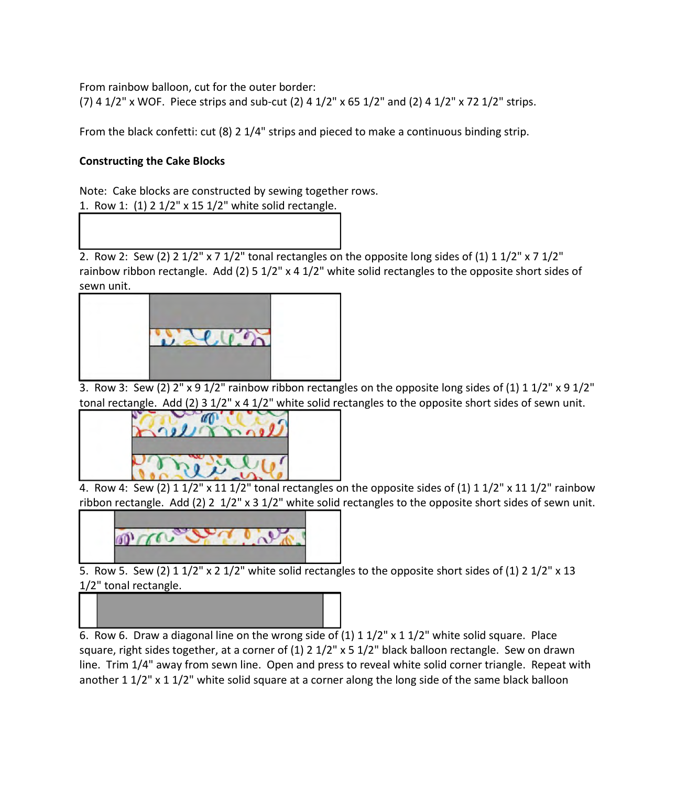From rainbow balloon, cut for the outer border:

(7) 4  $1/2$ " x WOF. Piece strips and sub-cut (2) 4  $1/2$ " x 65  $1/2$ " and (2) 4  $1/2$ " x 72  $1/2$ " strips.

From the black confetti: cut (8) 2 1/4" strips and pieced to make a continuous binding strip.

### **Constructing the Cake Blocks**

Note: Cake blocks are constructed by sewing together rows. 1. Row 1: (1) 2 1/2" x 15 1/2" white solid rectangle.

2. Row 2: Sew (2) 2  $1/2$ " x 7  $1/2$ " tonal rectangles on the opposite long sides of (1) 1  $1/2$ " x 7  $1/2$ " rainbow ribbon rectangle. Add (2) 5 1/2" x 4 1/2" white solid rectangles to the opposite short sides of sewn unit.



3. Row 3: Sew (2) 2" x 9 1/2" rainbow ribbon rectangles on the opposite long sides of (1) 1 1/2" x 9 1/2" tonal rectangle. Add (2) 3 1/2" x 4 1/2" white solid rectangles to the opposite short sides of sewn unit.



4. Row 4: Sew (2)  $1\frac{1}{2}$ " x  $11\frac{1}{2}$ " tonal rectangles on the opposite sides of (1)  $1\frac{1}{2}$ " x  $11\frac{1}{2}$ " rainbow ribbon rectangle. Add (2) 2 1/2" x 3 1/2" white solid rectangles to the opposite short sides of sewn unit.



5. Row 5. Sew (2)  $1 \frac{1}{2}$  x 2  $\frac{1}{2}$  white solid rectangles to the opposite short sides of (1) 2  $\frac{1}{2}$  x 13 1/2" tonal rectangle.



6. Row 6. Draw a diagonal line on the wrong side of (1) 1 1/2" x 1 1/2" white solid square. Place square, right sides together, at a corner of (1) 2 1/2" x 5 1/2" black balloon rectangle. Sew on drawn line. Trim 1/4" away from sewn line. Open and press to reveal white solid corner triangle. Repeat with another 1 1/2" x 1 1/2" white solid square at a corner along the long side of the same black balloon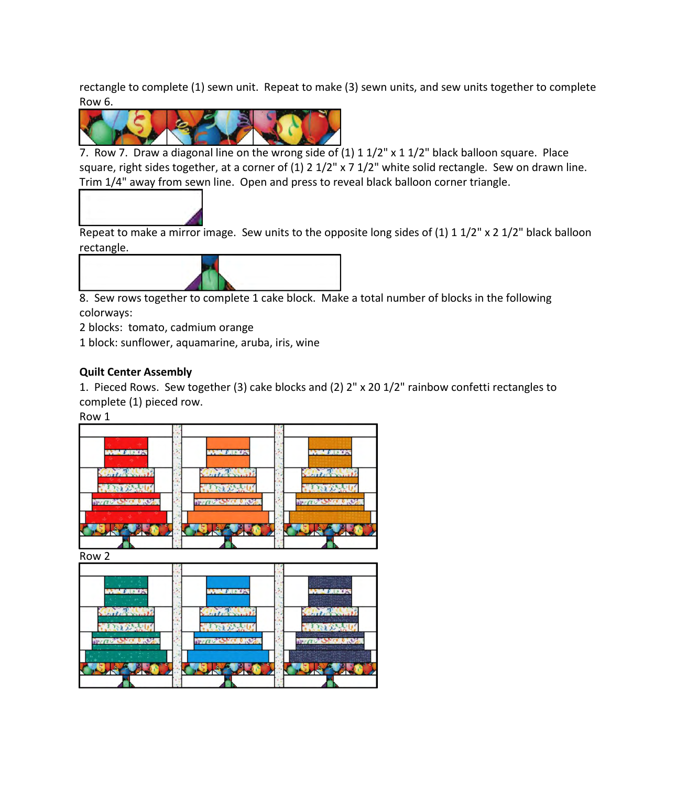rectangle to complete (1) sewn unit. Repeat to make (3) sewn units, and sew units together to complete Row 6.



7. Row 7. Draw a diagonal line on the wrong side of (1) 1 1/2" x 1 1/2" black balloon square. Place square, right sides together, at a corner of (1) 2 1/2" x 7 1/2" white solid rectangle. Sew on drawn line. Trim 1/4" away from sewn line. Open and press to reveal black balloon corner triangle.



Repeat to make a mirror image. Sew units to the opposite long sides of (1) 1 1/2" x 2 1/2" black balloon rectangle.



8. Sew rows together to complete 1 cake block. Make a total number of blocks in the following colorways:

2 blocks: tomato, cadmium orange

1 block: sunflower, aquamarine, aruba, iris, wine

## **Quilt Center Assembly**

1. Pieced Rows. Sew together (3) cake blocks and (2) 2" x 20 1/2" rainbow confetti rectangles to complete (1) pieced row.

Row 1

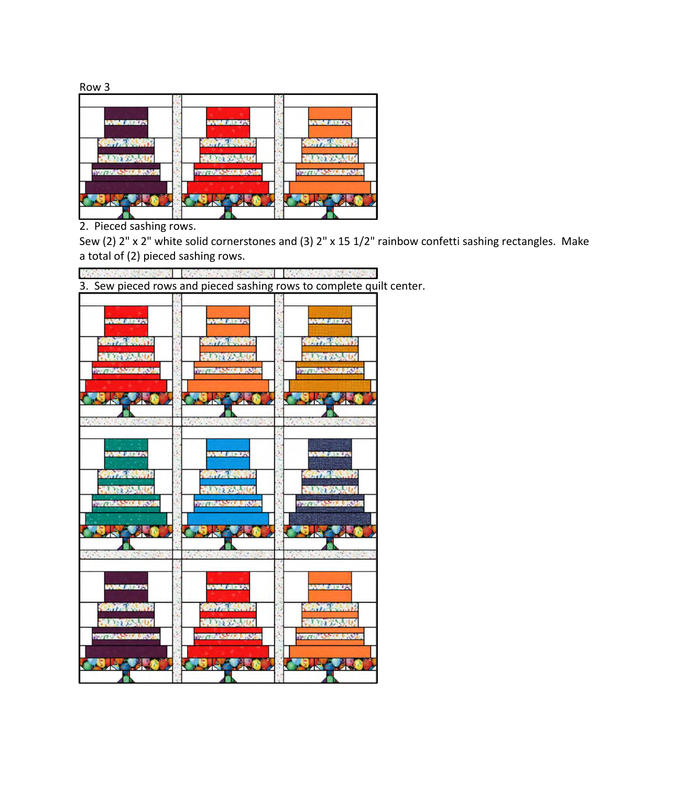

2. Pieced sashing rows.

Sew (2) 2" x 2" white solid cornerstones and (3) 2" x 15 1/2" rainbow confetti sashing rectangles. Make a total of (2) pieced sashing rows.